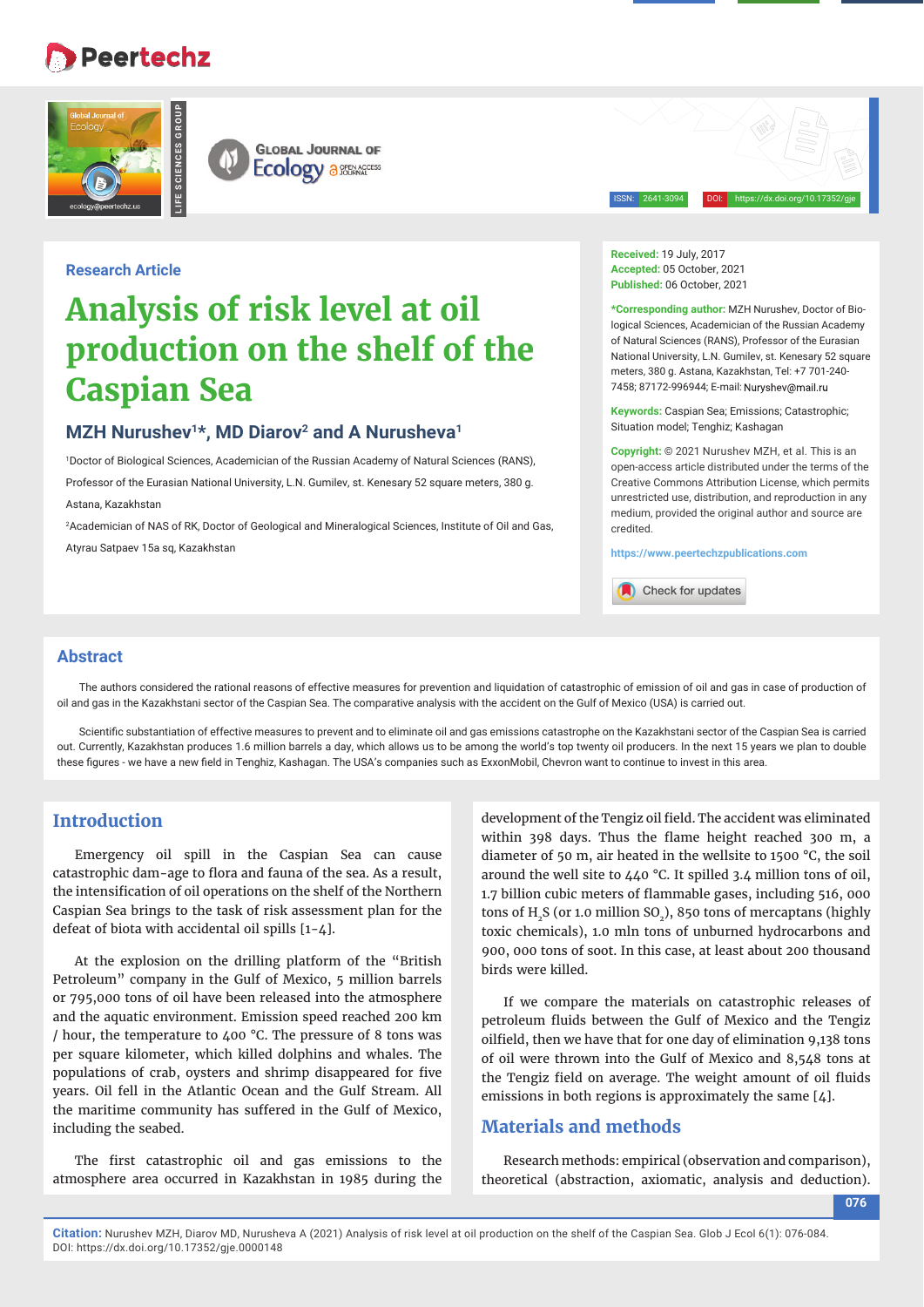## **Peertechz**





ISSN: 2641-3094 DOI: https://dx.doi.org/10.17352/gje

#### **Research Article**

# **Analysis of risk level at oil production on the shelf of the Caspian Sea**

## MZH Nurushev<sup>1\*</sup>, MD Diarov<sup>2</sup> and A Nurusheva<sup>1</sup>

1 Doctor of Biological Sciences, Academician of the Russian Academy of Natural Sciences (RANS), Professor of the Eurasian National University, L.N. Gumilev, st. Kenesary 52 square meters, 380 g. Astana, Kazakhstan

2 Academician of NAS of RK, Doctor of Geological and Mineralogical Sciences, Institute of Oil and Gas, Atyrau Satpaev 15a sq, Kazakhstan

**Received:** 19 July, 2017 **Accepted:** 05 October, 2021 **Published:** 06 October, 2021

**\*Corresponding author:** MZH Nurushev, Doctor of Biological Sciences, Academician of the Russian Academy of Natural Sciences (RANS), Professor of the Eurasian National University, L.N. Gumilev, st. Kenesary 52 square meters, 380 g. Astana, Kazakhstan, Tel: +7 701-240- 7458; 87172-996944; E-mail:

**Keywords:** Caspian Sea; Emissions; Catastrophic; Situation model; Tenghiz; Kashagan

**Copyright:** © 2021 Nurushev MZH, et al. This is an open-access article distributed under the terms of the Creative Commons Attribution License, which permits unrestricted use, distribution, and reproduction in any medium, provided the original author and source are credited.

**https://www.peertechzpublications.com**

Check for updates

#### **Abstract**

The authors considered the rational reasons of effective measures for prevention and liquidation of catastrophic of emission of oil and gas in case of production of oil and gas in the Kazakhstani sector of the Caspian Sea. The comparative analysis with the accident on the Gulf of Mexico (USA) is carried out.

Scientific substantiation of effective measures to prevent and to eliminate oil and gas emissions catastrophe on the Kazakhstani sector of the Caspian Sea is carried out. Currently, Kazakhstan produces 1.6 million barrels a day, which allows us to be among the world's top twenty oil producers. In the next 15 years we plan to double these figures - we have a new field in Tenghiz, Kashagan. The USA's companies such as ExxonMobil, Chevron want to continue to invest in this area.

#### **Introduction**

Emergency oil spill in the Caspian Sea can cause catastrophic dam-age to flora and fauna of the sea. As a result, the intensification of oil operations on the shelf of the Northern Caspian Sea brings to the task of risk assessment plan for the defeat of biota with accidental oil spills [1-4].

At the explosion on the drilling platform of the "British Petroleum" company in the Gulf of Mexico, 5 million barrels or 795,000 tons of oil have been released into the atmosphere and the aquatic environment. Emission speed reached 200 km / hour, the temperature to 400 °C. The pressure of 8 tons was per square kilometer, which killed dolphins and whales. The populations of crab, oysters and shrimp disappeared for five years. Oil fell in the Atlantic Ocean and the Gulf Stream. All the maritime community has suffered in the Gulf of Mexico, including the seabed.

The first catastrophic oil and gas emissions to the atmosphere area occurred in Kazakhstan in 1985 during the

development of the Tengiz oil field. The accident was eliminated within 398 days. Thus the flame height reached 300 m, a diameter of 50 m, air heated in the wellsite to 1500 °C, the soil around the well site to 440 °C. It spilled 3.4 million tons of oil, 1.7 billion cubic meters of flammable gases, including 516, 000 tons of  $H_5$  (or 1.0 million SO<sub>2</sub>), 850 tons of mercaptans (highly toxic chemicals), 1.0 mln tons of unburned hydrocarbons and 900, 000 tons of soot. In this case, at least about 200 thousand birds were killed.

If we compare the materials on catastrophic releases of petroleum fluids between the Gulf of Mexico and the Tengiz oilfield, then we have that for one day of elimination 9,138 tons of oil were thrown into the Gulf of Mexico and 8,548 tons at the Tengiz field on average. The weight amount of oil fluids emissions in both regions is approximately the same [4].

### **Materials and methods**

Research methods: empirical (observation and comparison), theoretical (abstraction, axiomatic, analysis and deduction).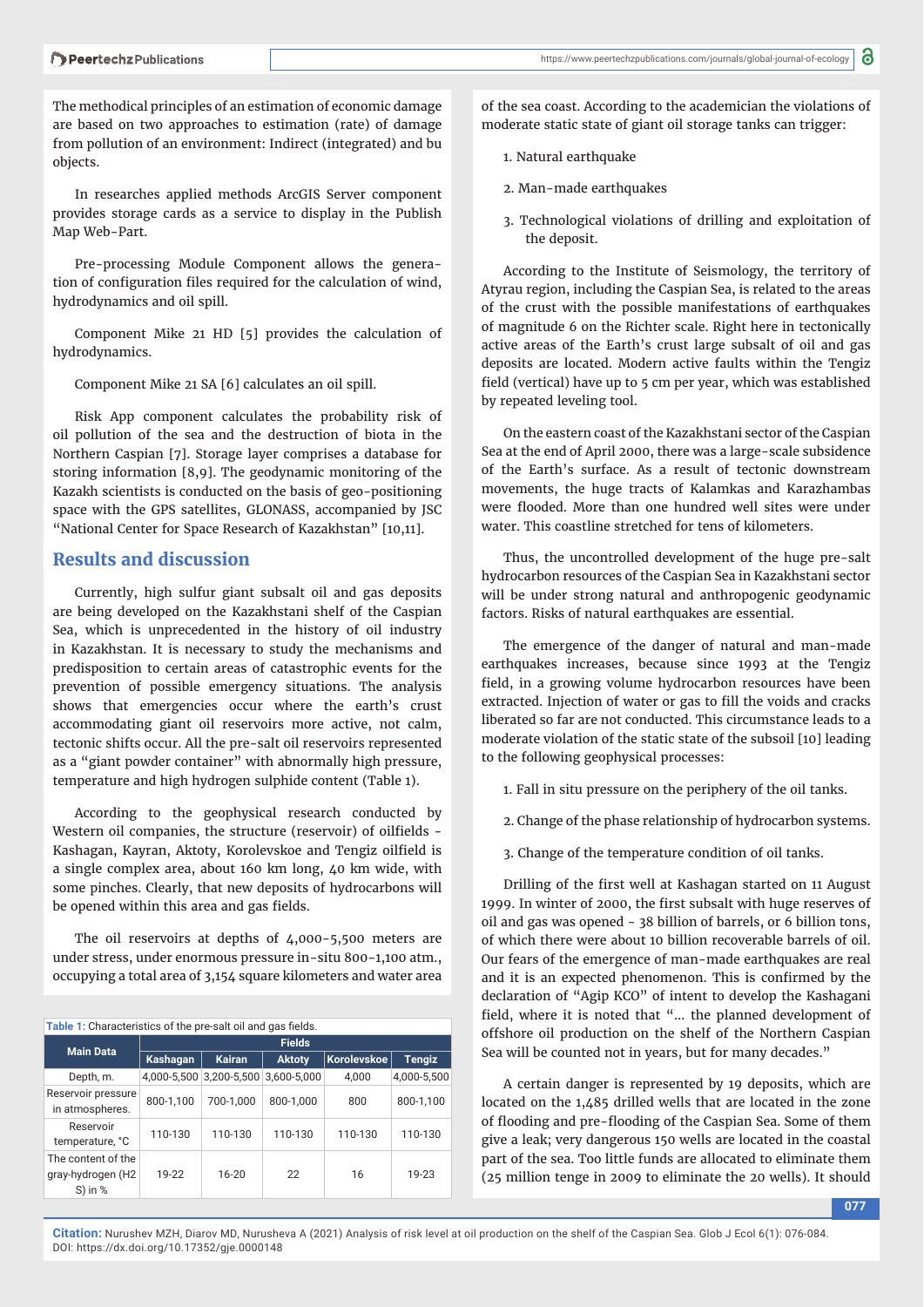The methodical principles of an estimation of economic damage are based on two approaches to estimation (rate) of damage from pollution of an environment: Indirect (integrated) and bu objects.

In researches applied methods ArcGIS Server component provides storage cards as a service to display in the Publish Map Web-Part.

Pre-processing Module Component allows the generation of configuration files required for the calculation of wind, hydrodynamics and oil spill.

Component Mike 21 HD [5] provides the calculation of hydrodynamics.

Component Mike 21 SA [6] calculates an oil spill.

Risk App component calculates the probability risk of oil pollution of the sea and the destruction of biota in the Northern Caspian [7]. Storage layer comprises a database for storing information [8,9]. The geodynamic monitoring of the Kazakh scientists is conducted on the basis of geo-positioning space with the GPS satellites, GLONASS, accompanied by JSC "National Center for Space Research of Kazakhstan" [10,11].

#### **Results and discussion**

Currently, high sulfur giant subsalt oil and gas deposits are being developed on the Kazakhstani shelf of the Caspian Sea, which is unprecedented in the history of oil industry in Kazakhstan. It is necessary to study the mechanisms and predisposition to certain areas of catastrophic events for the prevention of possible emergency situations. The analysis shows that emergencies occur where the earth's crust accommodating giant oil reservoirs more active, not calm, tectonic shifts occur. All the pre-salt oil reservoirs represented as a "giant powder container" with abnormally high pressure, temperature and high hydrogen sulphide content (Table 1).

According to the geophysical research conducted by Western oil companies, the structure (reservoir) of oilfields -Kashagan, Kayran, Aktoty, Korolevskoe and Tengiz oilfield is a single complex area, about 160 km long, 40 km wide, with some pinches. Clearly, that new deposits of hydrocarbons will be opened within this area and gas fields.

The oil reservoirs at depths of 4,000-5,500 meters are under stress, under enormous pressure in-situ 800-1,100 atm., occupying a total area of 3,154 square kilometers and water area

Table 1: Characteristics of the pre-salt oil and gas fields.

| <b>Main Data</b>                                     | <b>Fields</b> |                                     |               |             |               |  |
|------------------------------------------------------|---------------|-------------------------------------|---------------|-------------|---------------|--|
|                                                      | Kashagan      | <b>Kairan</b>                       | <b>Aktoty</b> | Korolevskoe | <b>Tengiz</b> |  |
| Depth, m.                                            |               | 4,000-5,500 3,200-5,500 3,600-5,000 |               | 4.000       | 4,000-5,500   |  |
| Reservoir pressure<br>in atmospheres.                | 800-1.100     | 700-1.000                           | 800-1.000     | 800         | 800-1,100     |  |
| Reservoir<br>temperature, °C                         | 110-130       | 110-130                             | 110-130       | 110-130     | 110-130       |  |
| The content of the<br>gray-hydrogen (H2<br>$S)$ in % | 19-22         | $16 - 20$                           | 22            | 16          | 19-23         |  |

of the sea coast. According to the academician the violations of moderate static state of giant oil storage tanks can trigger:

- 1. Natural earthquake
- 2. Man-made earthquakes
- 3. Technological violations of drilling and exploitation of the deposit.

According to the Institute of Seismology, the territory of Atyrau region, including the Caspian Sea, is related to the areas of the crust with the possible manifestations of earthquakes of magnitude 6 on the Richter scale. Right here in tectonically active areas of the Earth's crust large subsalt of oil and gas deposits are located. Modern active faults within the Tengiz field (vertical) have up to 5 cm per year, which was established by repeated leveling tool.

On the eastern coast of the Kazakhstani sector of the Caspian Sea at the end of April 2000, there was a large-scale subsidence of the Earth's surface. As a result of tectonic downstream movements, the huge tracts of Kalamkas and Karazhambas were flooded. More than one hundred well sites were under water. This coastline stretched for tens of kilometers.

Thus, the uncontrolled development of the huge pre-salt hydrocarbon resources of the Caspian Sea in Kazakhstani sector will be under strong natural and anthropogenic geodynamic factors. Risks of natural earthquakes are essential.

The emergence of the danger of natural and man-made earthquakes increases, because since 1993 at the Tengiz field, in a growing volume hydrocarbon resources have been extracted. Injection of water or gas to fill the voids and cracks liberated so far are not conducted. This circumstance leads to a moderate violation of the static state of the subsoil [10] leading to the following geophysical processes:

- 1. Fall in situ pressure on the periphery of the oil tanks.
- 2. Change of the phase relationship of hydrocarbon systems.
- 3. Change of the temperature condition of oil tanks.

Drilling of the first well at Kashagan started on 11 August 1999. In winter of 2000, the first subsalt with huge reserves of oil and gas was opened - 38 billion of barrels, or 6 billion tons, of which there were about 10 billion recoverable barrels of oil. Our fears of the emergence of man-made earthquakes are real and it is an expected phenomenon. This is confirmed by the declaration of "Agip KCO" of intent to develop the Kashagani field, where it is noted that "... the planned development of offshore oil production on the shelf of the Northern Caspian Sea will be counted not in years, but for many decades."

A certain danger is represented by 19 deposits, which are located on the 1,485 drilled wells that are located in the zone of flooding and pre-flooding of the Caspian Sea. Some of them give a leak; very dangerous 150 wells are located in the coastal part of the sea. Too little funds are allocated to eliminate them (25 million tenge in 2009 to eliminate the 20 wells). It should

**077**

**Citation:** Nurushev MZH, Diarov MD, Nurusheva A (2021) Analysis of risk level at oil production on the shelf of the Caspian Sea. Glob J Ecol 6(1): 076-084. DOI: https://dx.doi.org/10.17352/gje.0000148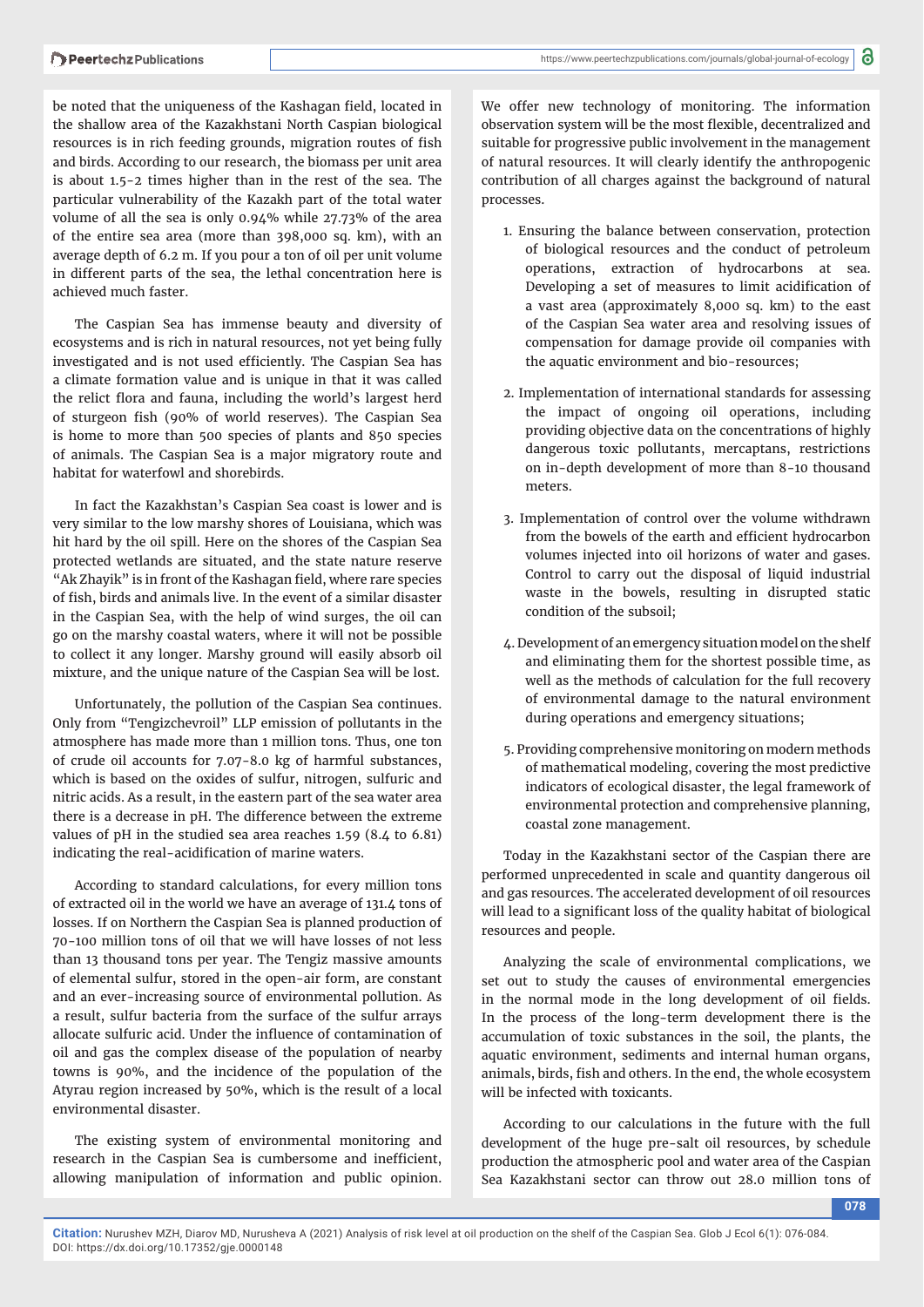be noted that the uniqueness of the Kashagan field, located in the shallow area of the Kazakhstani North Caspian biological resources is in rich feeding grounds, migration routes of fish and birds. According to our research, the biomass per unit area is about 1.5-2 times higher than in the rest of the sea. The particular vulnerability of the Kazakh part of the total water volume of all the sea is only 0.94% while 27.73% of the area of the entire sea area (more than 398,000 sq. km), with an average depth of 6.2 m. If you pour a ton of oil per unit volume in different parts of the sea, the lethal concentration here is achieved much faster.

The Caspian Sea has immense beauty and diversity of ecosystems and is rich in natural resources, not yet being fully investigated and is not used efficiently. The Caspian Sea has a climate formation value and is unique in that it was called the relict flora and fauna, including the world's largest herd of sturgeon fish (90% of world reserves). The Caspian Sea is home to more than 500 species of plants and 850 species of animals. The Caspian Sea is a major migratory route and habitat for waterfowl and shorebirds.

In fact the Kazakhstan's Caspian Sea coast is lower and is very similar to the low marshy shores of Louisiana, which was hit hard by the oil spill. Here on the shores of the Caspian Sea protected wetlands are situated, and the state nature reserve "Ak Zhayik" is in front of the Kashagan field, where rare species of fish, birds and animals live. In the event of a similar disaster in the Caspian Sea, with the help of wind surges, the oil can go on the marshy coastal waters, where it will not be possible to collect it any longer. Marshy ground will easily absorb oil mixture, and the unique nature of the Caspian Sea will be lost.

Unfortunately, the pollution of the Caspian Sea continues. Only from "Tengizchevroil" LLP emission of pollutants in the atmosphere has made more than 1 million tons. Thus, one ton of crude oil accounts for 7.07-8.0 kg of harmful substances, which is based on the oxides of sulfur, nitrogen, sulfuric and nitric acids. As a result, in the eastern part of the sea water area there is a decrease in pH. The difference between the extreme values of pH in the studied sea area reaches 1.59 (8.4 to 6.81) indicating the real-acidification of marine waters.

According to standard calculations, for every million tons of extracted oil in the world we have an average of 131.4 tons of losses. If on Northern the Caspian Sea is planned production of 70-100 million tons of oil that we will have losses of not less than 13 thousand tons per year. The Tengiz massive amounts of elemental sulfur, stored in the open-air form, are constant and an ever-increasing source of environmental pollution. As a result, sulfur bacteria from the surface of the sulfur arrays allocate sulfuric acid. Under the influence of contamination of oil and gas the complex disease of the population of nearby towns is 90%, and the incidence of the population of the Atyrau region increased by 50%, which is the result of a local environmental disaster.

The existing system of environmental monitoring and research in the Caspian Sea is cumbersome and inefficient, allowing manipulation of information and public opinion.

We offer new technology of monitoring. The information observation system will be the most flexible, decentralized and suitable for progressive public involvement in the management of natural resources. It will clearly identify the anthropogenic contribution of all charges against the background of natural processes.

- 1. Ensuring the balance between conservation, protection of biological resources and the conduct of petroleum operations, extraction of hydrocarbons at sea. Developing a set of measures to limit acidification of a vast area (approximately 8,000 sq. km) to the east of the Caspian Sea water area and resolving issues of compensation for damage provide oil companies with the aquatic environment and bio-resources;
- 2. Implementation of international standards for assessing the impact of ongoing oil operations, including providing objective data on the concentrations of highly dangerous toxic pollutants, mercaptans, restrictions on in-depth development of more than 8-10 thousand meters.
- 3. Implementation of control over the volume withdrawn from the bowels of the earth and efficient hydrocarbon volumes injected into oil horizons of water and gases. Control to carry out the disposal of liquid industrial waste in the bowels, resulting in disrupted static condition of the subsoil;
- 4. Development of an emergency situation model on the shelf and eliminating them for the shortest possible time, as well as the methods of calculation for the full recovery of environmental damage to the natural environment during operations and emergency situations;
- 5. Providing comprehensive monitoring on modern methods of mathematical modeling, covering the most predictive indicators of ecological disaster, the legal framework of environmental protection and comprehensive planning, coastal zone management.

Today in the Kazakhstani sector of the Caspian there are performed unprecedented in scale and quantity dangerous oil and gas resources. The accelerated development of oil resources will lead to a significant loss of the quality habitat of biological resources and people.

Analyzing the scale of environmental complications, we set out to study the causes of environmental emergencies in the normal mode in the long development of oil fields. In the process of the long-term development there is the accumulation of toxic substances in the soil, the plants, the aquatic environment, sediments and internal human organs, animals, birds, fish and others. In the end, the whole ecosystem will be infected with toxicants.

According to our calculations in the future with the full development of the huge pre-salt oil resources, by schedule production the atmospheric pool and water area of the Caspian Sea Kazakhstani sector can throw out 28.0 million tons of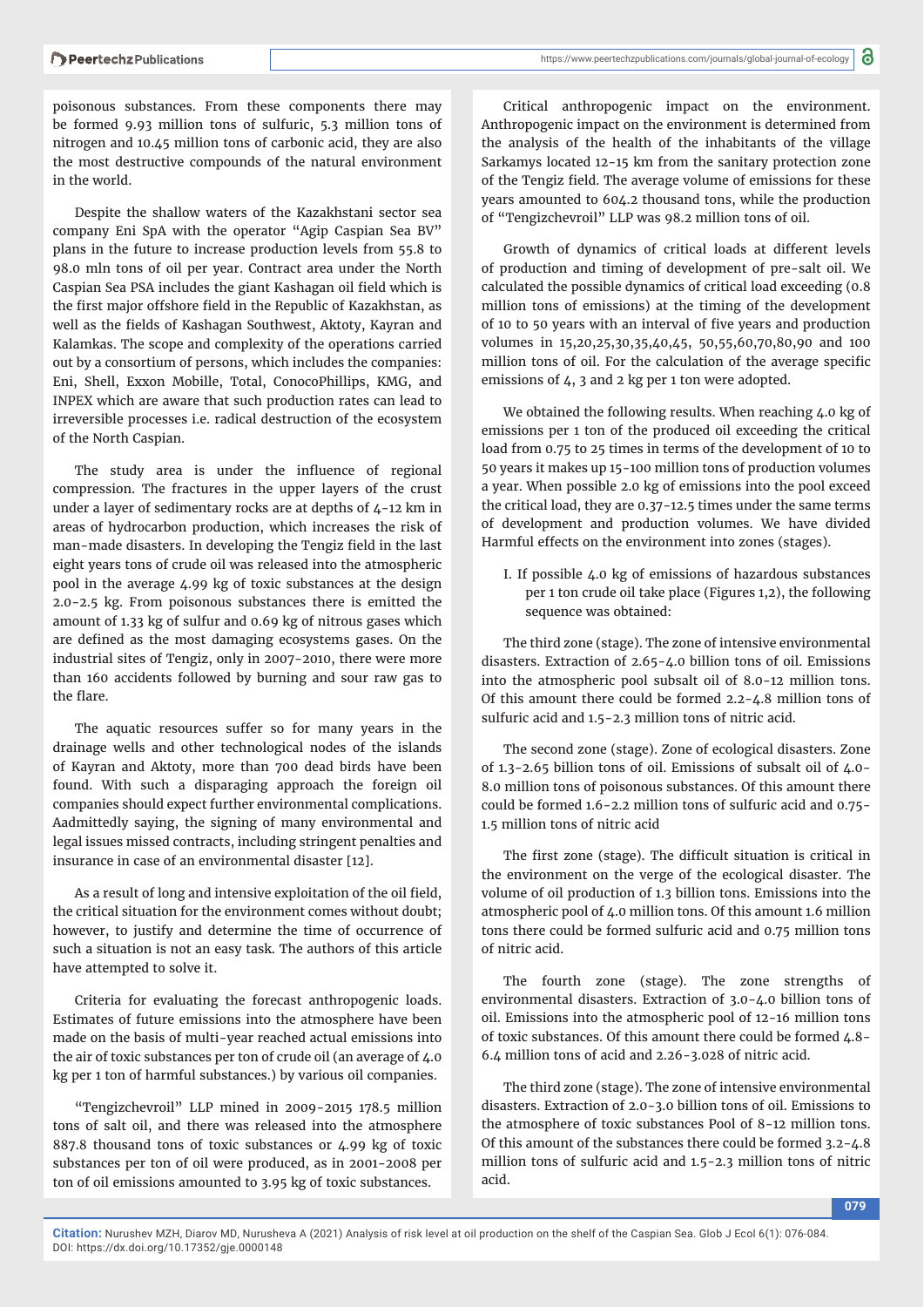poisonous substances. From these components there may be formed 9.93 million tons of sulfuric, 5.3 million tons of nitrogen and 10.45 million tons of carbonic acid, they are also the most destructive compounds of the natural environment in the world.

Despite the shallow waters of the Kazakhstani sector sea company Eni SpA with the operator "Agip Caspian Sea BV" plans in the future to increase production levels from 55.8 to 98.0 mln tons of oil per year. Contract area under the North Caspian Sea PSA includes the giant Kashagan oil field which is the first major offshore field in the Republic of Kazakhstan, as well as the fields of Kashagan Southwest, Aktoty, Kayran and Kalamkas. The scope and complexity of the operations carried out by a consortium of persons, which includes the companies: Eni, Shell, Exxon Mobille, Total, ConocoPhillips, KMG, and INPEX which are aware that such production rates can lead to irreversible processes i.e. radical destruction of the ecosystem of the North Caspian.

The study area is under the influence of regional compression. The fractures in the upper layers of the crust under a layer of sedimentary rocks are at depths of 4-12 km in areas of hydrocarbon production, which increases the risk of man-made disasters. In developing the Tengiz field in the last eight years tons of crude oil was released into the atmospheric pool in the average 4.99 kg of toxic substances at the design 2.0-2.5 kg. From poisonous substances there is emitted the amount of 1.33 kg of sulfur and 0.69 kg of nitrous gases which are defined as the most damaging ecosystems gases. On the industrial sites of Tengiz, only in 2007-2010, there were more than 160 accidents followed by burning and sour raw gas to the flare.

The aquatic resources suffer so for many years in the drainage wells and other technological nodes of the islands of Kayran and Aktoty, more than 700 dead birds have been found. With such a disparaging approach the foreign oil companies should expect further environmental complications. Аadmittedly saying, the signing of many environmental and legal issues missed contracts, including stringent penalties and insurance in case of an environmental disaster [12].

As a result of long and intensive exploitation of the oil field, the critical situation for the environment comes without doubt; however, to justify and determine the time of occurrence of such a situation is not an easy task. The authors of this article have attempted to solve it.

Criteria for evaluating the forecast anthropogenic loads. Estimates of future emissions into the atmosphere have been made on the basis of multi-year reached actual emissions into the air of toxic substances per ton of crude oil (an average of 4.0 kg per 1 ton of harmful substances.) by various oil companies.

"Tengizchevroil" LLP mined in 2009-2015 178.5 million tons of salt oil, and there was released into the atmosphere 887.8 thousand tons of toxic substances or 4.99 kg of toxic substances per ton of oil were produced, as in 2001-2008 per ton of oil emissions amounted to 3.95 kg of toxic substances.

Critical anthropogenic impact on the environment. Anthropogenic impact on the environment is determined from the analysis of the health of the inhabitants of the village Sarkamys located 12-15 km from the sanitary protection zone of the Tengiz field. The average volume of emissions for these years amounted to 604.2 thousand tons, while the production of "Tengizchevroil" LLP was 98.2 million tons of oil.

Growth of dynamics of critical loads at different levels of production and timing of development of pre-salt oil. We calculated the possible dynamics of critical load exceeding (0.8 million tons of emissions) at the timing of the development of 10 to 50 years with an interval of five years and production volumes in 15,20,25,30,35,40,45, 50,55,60,70,80,90 and 100 million tons of oil. For the calculation of the average specific emissions of 4, 3 and 2 kg per 1 ton were adopted.

We obtained the following results. When reaching 4.0 kg of emissions per 1 ton of the produced oil exceeding the critical load from 0.75 to 25 times in terms of the development of 10 to 50 years it makes up 15-100 million tons of production volumes a year. When possible 2.0 kg of emissions into the pool exceed the critical load, they are 0.37-12.5 times under the same terms of development and production volumes. We have divided Harmful effects on the environment into zones (stages).

I. If possible 4.0 kg of emissions of hazardous substances per 1 ton crude oil take place (Figures 1,2), the following sequence was obtained:

The third zone (stage). The zone of intensive environmental disasters. Extraction of 2.65-4.0 billion tons of oil. Emissions into the atmospheric pool subsalt oil of 8.0-12 million tons. Of this amount there could be formed 2.2-4.8 million tons of sulfuric acid and 1.5-2.3 million tons of nitric acid.

The second zone (stage). Zone of ecological disasters. Zone of 1.3-2.65 billion tons of oil. Emissions of subsalt oil of 4.0- 8.0 million tons of poisonous substances. Of this amount there could be formed 1.6-2.2 million tons of sulfuric acid and 0.75- 1.5 million tons of nitric acid

The first zone (stage). The difficult situation is critical in the environment on the verge of the ecological disaster. The volume of oil production of 1.3 billion tons. Emissions into the atmospheric pool of 4.0 million tons. Of this amount 1.6 million tons there could be formed sulfuric acid and 0.75 million tons of nitric acid.

The fourth zone (stage). The zone strengths of environmental disasters. Extraction of 3.0-4.0 billion tons of oil. Emissions into the atmospheric pool of 12-16 million tons of toxic substances. Of this amount there could be formed 4.8- 6.4 million tons of acid and 2.26-3.028 of nitric acid.

The third zone (stage). The zone of intensive environmental disasters. Extraction of 2.0-3.0 billion tons of oil. Emissions to the atmosphere of toxic substances Pool of 8-12 million tons. Of this amount of the substances there could be formed 3.2-4.8 million tons of sulfuric acid and 1.5-2.3 million tons of nitric acid.

**Citation:** Nurushev MZH, Diarov MD, Nurusheva A (2021) Analysis of risk level at oil production on the shelf of the Caspian Sea. Glob J Ecol 6(1): 076-084. DOI: https://dx.doi.org/10.17352/gje.0000148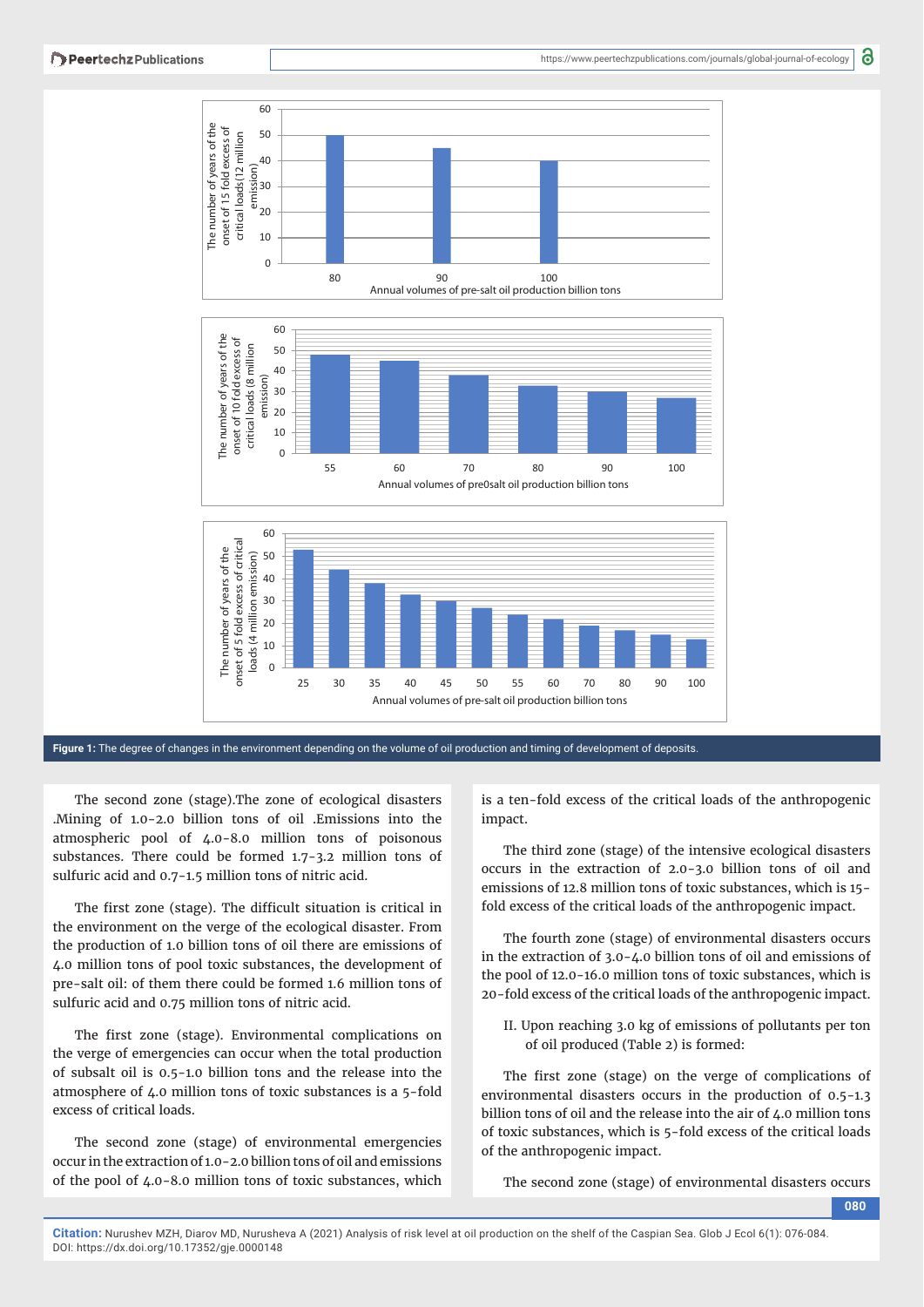



**Figure 1:** The degree of changes in the environment depending on the volume of oil production and timing of development of deposits.

The second zone (stage).The zone of ecological disasters .Mining of 1.0-2.0 billion tons of oil .Emissions into the atmospheric pool of 4.0-8.0 million tons of poisonous substances. There could be formed 1.7-3.2 million tons of sulfuric acid and 0.7-1.5 million tons of nitric acid.

The first zone (stage). The difficult situation is critical in the environment on the verge of the ecological disaster. From the production of 1.0 billion tons of oil there are emissions of 4.0 million tons of pool toxic substances, the development of pre-salt oil: of them there could be formed 1.6 million tons of sulfuric acid and 0.75 million tons of nitric acid.

The first zone (stage). Environmental complications on the verge of emergencies can occur when the total production of subsalt oil is 0.5-1.0 billion tons and the release into the atmosphere of 4.0 million tons of toxic substances is a 5-fold excess of critical loads.

The second zone (stage) of environmental emergencies occur in the extraction of 1.0-2.0 billion tons of oil and emissions of the pool of 4.0-8.0 million tons of toxic substances, which is a ten-fold excess of the critical loads of the anthropogenic impact.

The third zone (stage) of the intensive ecological disasters occurs in the extraction of 2.0-3.0 billion tons of oil and emissions of 12.8 million tons of toxic substances, which is 15 fold excess of the critical loads of the anthropogenic impact.

The fourth zone (stage) of environmental disasters occurs in the extraction of 3.0-4.0 billion tons of oil and emissions of the pool of 12.0-16.0 million tons of toxic substances, which is 20-fold excess of the critical loads of the anthropogenic impact.

II. Upon reaching 3.0 kg of emissions of pollutants per ton of oil produced (Table 2) is formed:

The first zone (stage) on the verge of complications of environmental disasters occurs in the production of 0.5-1.3 billion tons of oil and the release into the air of 4.0 million tons of toxic substances, which is 5-fold excess of the critical loads of the anthropogenic impact.

The second zone (stage) of environmental disasters occurs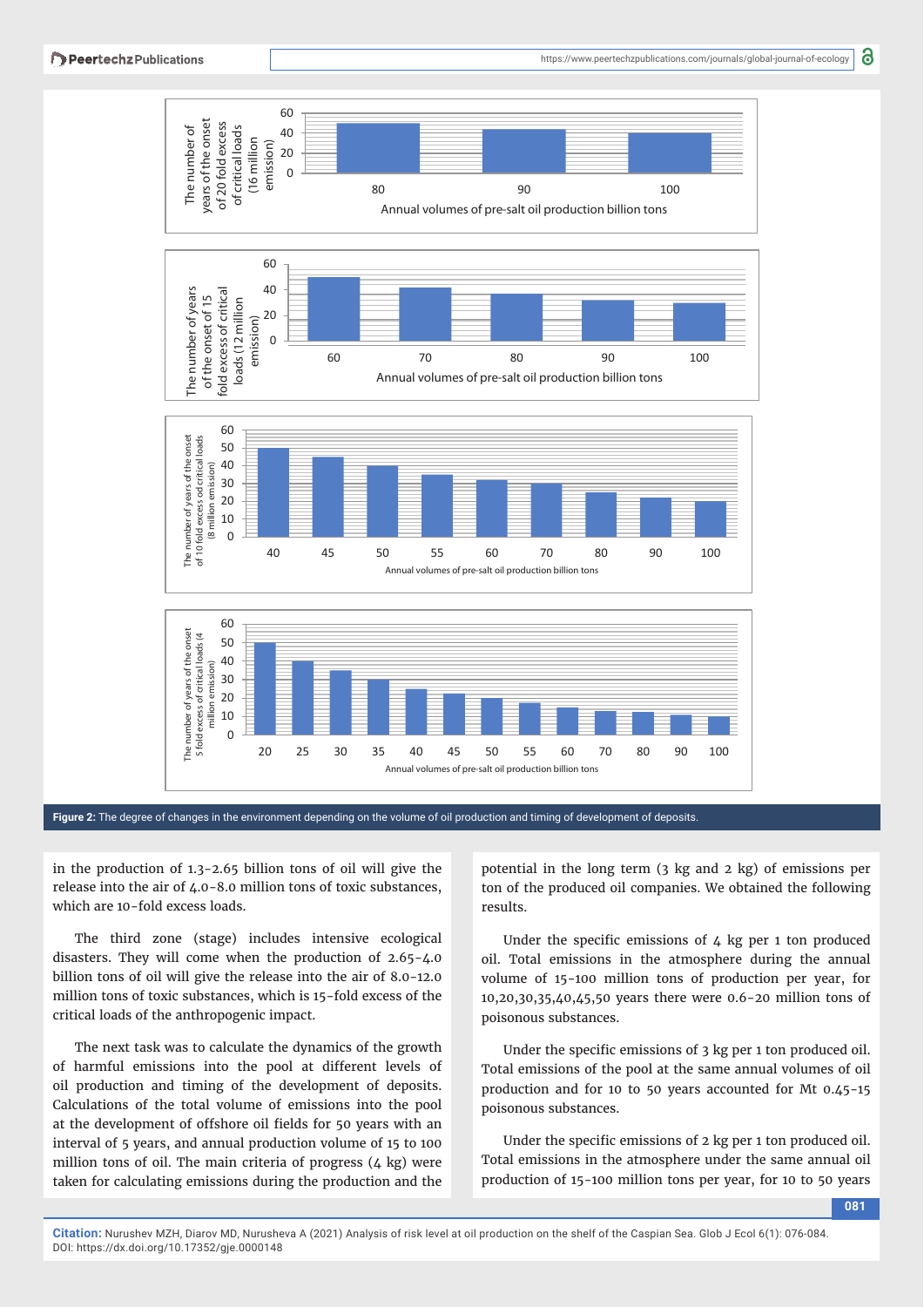

**Figure 2:** The degree of changes in the environment depending on the volume of oil production and timing of development of deposits.

in the production of 1.3-2.65 billion tons of oil will give the release into the air of 4.0-8.0 million tons of toxic substances, which are 10-fold excess loads.

The third zone (stage) includes intensive ecological disasters. They will come when the production of 2.65-4.0 billion tons of oil will give the release into the air of 8.0-12.0 million tons of toxic substances, which is 15-fold excess of the critical loads of the anthropogenic impact.

The next task was to calculate the dynamics of the growth of harmful emissions into the pool at different levels of oil production and timing of the development of deposits. Calculations of the total volume of emissions into the pool at the development of offshore oil fields for 50 years with an interval of 5 years, and annual production volume of 15 to 100 million tons of oil. The main criteria of progress (4 kg) were taken for calculating emissions during the production and the potential in the long term (3 kg and 2 kg) of emissions per ton of the produced oil companies. We obtained the following results.

Under the specific emissions of  $4$  kg per 1 ton produced oil. Total emissions in the atmosphere during the annual volume of 15-100 million tons of production per year, for 10,20,30,35,40,45,50 years there were 0.6-20 million tons of poisonous substances.

Under the specific emissions of 3 kg per 1 ton produced oil. Total emissions of the pool at the same annual volumes of oil production and for 10 to 50 years accounted for Mt 0.45-15 poisonous substances.

Under the specific emissions of 2 kg per 1 ton produced oil. Total emissions in the atmosphere under the same annual oil production of 15-100 million tons per year, for 10 to 50 years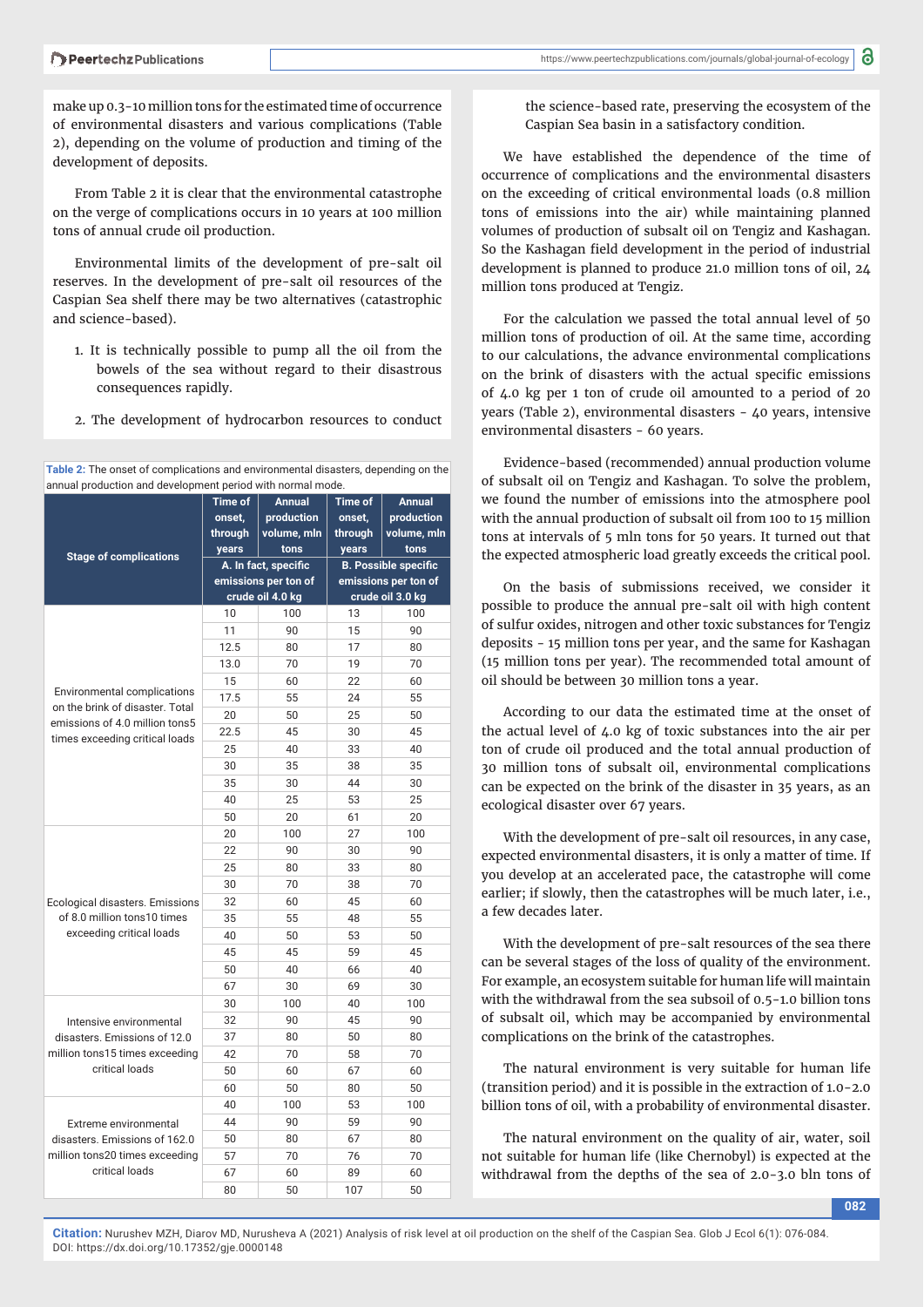make up 0.3-10 million tons for the estimated time of occurrence of environmental disasters and various complications (Table 2), depending on the volume of production and timing of the development of deposits.

From Table 2 it is clear that the environmental catastrophe on the verge of complications occurs in 10 years at 100 million tons of annual crude oil production.

Environmental limits of the development of pre-salt oil reserves. In the development of pre-salt oil resources of the Caspian Sea shelf there may be two alternatives (catastrophic and science-based).

- 1. It is technically possible to pump all the oil from the bowels of the sea without regard to their disastrous consequences rapidly.
- 2. The development of hydrocarbon resources to conduct

**Table 2:** The onset of complications and environmental disasters, depending on the annual production and development period with normal mode.

|                                                                       | <b>Time of</b>       | <b>Annual</b> | <b>Time of</b>              | <b>Annual</b> |
|-----------------------------------------------------------------------|----------------------|---------------|-----------------------------|---------------|
|                                                                       | onset,               | production    | onset,                      | production    |
|                                                                       | through              | volume, mln   | through                     | volume, mln   |
|                                                                       | years                | tons          | years                       | tons          |
| <b>Stage of complications</b>                                         | A. In fact, specific |               | <b>B. Possible specific</b> |               |
|                                                                       | emissions per ton of |               | emissions per ton of        |               |
|                                                                       | crude oil 4.0 kg     |               | crude oil 3.0 kg            |               |
|                                                                       | 10                   | 100           | 13                          | 100           |
|                                                                       | 11                   | 90            | 15                          | 90            |
|                                                                       | 12.5                 | 80            | 17                          | 80            |
|                                                                       | 13.0                 | 70            | 19                          | 70            |
|                                                                       | 15                   | 60            | 22                          | 60            |
| <b>Environmental complications</b><br>on the brink of disaster. Total | 17.5                 | 55            | 24                          | 55            |
| emissions of 4.0 million tons5                                        | 20                   | 50            | 25                          | 50            |
| times exceeding critical loads                                        | 22.5                 | 45            | 30                          | 45            |
|                                                                       | 25                   | 40            | 33                          | 40            |
|                                                                       | 30                   | 35            | 38                          | 35            |
|                                                                       | 35                   | 30            | 44                          | 30            |
|                                                                       | 40                   | 25            | 53                          | 25            |
|                                                                       | 50                   | 20            | 61                          | 20            |
|                                                                       | 20                   | 100           | 27                          | 100           |
|                                                                       | 22                   | 90            | 30                          | 90            |
|                                                                       | 25                   | 80            | 33                          | 80            |
|                                                                       | 30                   | 70            | 38                          | 70            |
| Ecological disasters. Emissions                                       | 32                   | 60            | 45                          | 60            |
| of 8.0 million tons10 times                                           | 35                   | 55            | 48                          | 55            |
| exceeding critical loads                                              | 40                   | 50            | 53                          | 50            |
|                                                                       | 45                   | 45            | 59                          | 45            |
|                                                                       | 50                   | 40            | 66                          | 40            |
|                                                                       | 67                   | 30            | 69                          | 30            |
|                                                                       | 30                   | 100           | 40                          | 100           |
| Intensive environmental                                               | 32                   | 90            | 45                          | 90            |
| disasters. Emissions of 12.0                                          | 37                   | 80            | 50                          | 80            |
| million tons15 times exceeding                                        | 42                   | 70            | 58                          | 70            |
| critical loads                                                        | 50                   | 60            | 67                          | 60            |
|                                                                       | 60                   | 50            | 80                          | 50            |
|                                                                       | 40                   | 100           | 53                          | 100           |
| Extreme environmental                                                 | 44                   | 90            | 59                          | 90            |
| disasters. Emissions of 162.0                                         | 50                   | 80            | 67                          | 80            |
| million tons20 times exceeding                                        | 57                   | 70            | 76                          | 70            |
| critical loads                                                        | 67                   | 60            | 89                          | 60            |
|                                                                       | 80                   | 50            | 107                         | 50            |

8 https://www.peertechzpublications.com/journals/global-journal-of-ecology

the science-based rate, preserving the ecosystem of the Caspian Sea basin in a satisfactory condition.

We have established the dependence of the time of occurrence of complications and the environmental disasters on the exceeding of critical environmental loads (0.8 million tons of emissions into the air) while maintaining planned volumes of production of subsalt oil on Tengiz and Kashagan. So the Kashagan field development in the period of industrial development is planned to produce 21.0 million tons of oil, 24 million tons produced at Tengiz.

For the calculation we passed the total annual level of 50 million tons of production of oil. At the same time, according to our calculations, the advance environmental complications on the brink of disasters with the actual specific emissions of 4.0 kg per 1 ton of crude oil amounted to a period of 20 years (Table 2), environmental disasters - 40 years, intensive environmental disasters - 60 years.

Evidence-based (recommended) annual production volume of subsalt oil on Tengiz and Kashagan. To solve the problem, we found the number of emissions into the atmosphere pool with the annual production of subsalt oil from 100 to 15 million tons at intervals of 5 mln tons for 50 years. It turned out that the expected atmospheric load greatly exceeds the critical pool.

On the basis of submissions received, we consider it possible to produce the annual pre-salt oil with high content of sulfur oxides, nitrogen and other toxic substances for Tengiz deposits - 15 million tons per year, and the same for Kashagan (15 million tons per year). The recommended total amount of oil should be between 30 million tons a year.

According to our data the estimated time at the onset of the actual level of 4.0 kg of toxic substances into the air per ton of crude oil produced and the total annual production of 30 million tons of subsalt oil, environmental complications can be expected on the brink of the disaster in 35 years, as an ecological disaster over 67 years.

With the development of pre-salt oil resources, in any case, expected environmental disasters, it is only a matter of time. If you develop at an accelerated pace, the catastrophe will come earlier; if slowly, then the catastrophes will be much later, i.e., a few decades later.

With the development of pre-salt resources of the sea there can be several stages of the loss of quality of the environment. For example, an ecosystem suitable for human life will maintain with the withdrawal from the sea subsoil of 0.5-1.0 billion tons of subsalt oil, which may be accompanied by environmental complications on the brink of the catastrophes.

The natural environment is very suitable for human life (transition period) and it is possible in the extraction of 1.0-2.0 billion tons of oil, with a probability of environmental disaster.

The natural environment on the quality of air, water, soil not suitable for human life (like Chernobyl) is expected at the withdrawal from the depths of the sea of 2.0-3.0 bln tons of

**Citation:** Nurushev MZH, Diarov MD, Nurusheva A (2021) Analysis of risk level at oil production on the shelf of the Caspian Sea. Glob J Ecol 6(1): 076-084. DOI: https://dx.doi.org/10.17352/gje.0000148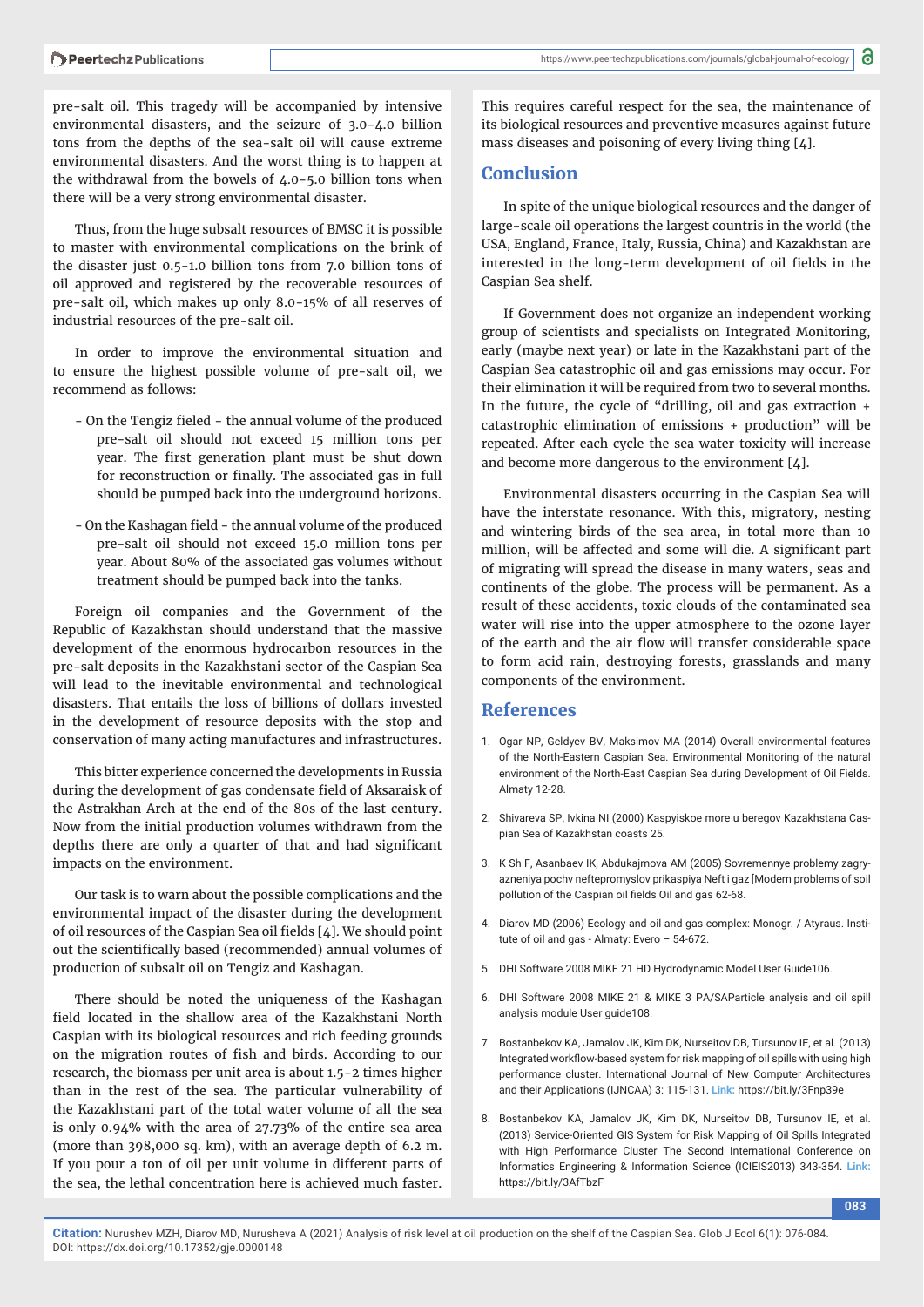pre-salt oil. This tragedy will be accompanied by intensive environmental disasters, and the seizure of 3.0-4.0 billion tons from the depths of the sea-salt oil will cause extreme environmental disasters. And the worst thing is to happen at the withdrawal from the bowels of 4.0-5.0 billion tons when there will be a very strong environmental disaster.

Thus, from the huge subsalt resources of BMSC it is possible to master with environmental complications on the brink of the disaster just 0.5-1.0 billion tons from 7.0 billion tons of oil approved and registered by the recoverable resources of pre-salt oil, which makes up only 8.0-15% of all reserves of industrial resources of the pre-salt oil.

In order to improve the environmental situation and to ensure the highest possible volume of pre-salt oil, we recommend as follows:

- On the Tengiz fieled the annual volume of the produced pre-salt oil should not exceed 15 million tons per year. The first generation plant must be shut down for reconstruction or finally. The associated gas in full should be pumped back into the underground horizons.
- On the Kashagan field the annual volume of the produced pre-salt oil should not exceed 15.0 million tons per year. About 80% of the associated gas volumes without treatment should be pumped back into the tanks.

Foreign oil companies and the Government of the Republic of Kazakhstan should understand that the massive development of the enormous hydrocarbon resources in the pre-salt deposits in the Kazakhstani sector of the Caspian Sea will lead to the inevitable environmental and technological disasters. That entails the loss of billions of dollars invested in the development of resource deposits with the stop and conservation of many acting manufactures and infrastructures.

This bitter experience concerned the developments in Russia during the development of gas condensate field of Aksaraisk of the Astrakhan Arch at the end of the 80s of the last century. Now from the initial production volumes withdrawn from the depths there are only a quarter of that and had significant impacts on the environment.

Our task is to warn about the possible complications and the environmental impact of the disaster during the development of oil resources of the Caspian Sea oil fields  $[4]$ . We should point out the scientifically based (recommended) annual volumes of production of subsalt oil on Tengiz and Kashagan.

There should be noted the uniqueness of the Kashagan field located in the shallow area of the Kazakhstani North Caspian with its biological resources and rich feeding grounds on the migration routes of fish and birds. According to our research, the biomass per unit area is about 1.5-2 times higher than in the rest of the sea. The particular vulnerability of the Kazakhstani part of the total water volume of all the sea is only 0.94% with the area of 27.73% of the entire sea area (more than 398,000 sq. km), with an average depth of 6.2 m. If you pour a ton of oil per unit volume in different parts of the sea, the lethal concentration here is achieved much faster.

This requires careful respect for the sea, the maintenance of its biological resources and preventive measures against future mass diseases and poisoning of every living thing [4].

#### **Conclusion**

In spite of the unique biological resources and the danger of large-scale oil operations the largest countris in the world (the USA, England, France, Italy, Russia, China) and Kazakhstan are interested in the long-term development of oil fields in the Caspian Sea shelf.

If Government does not organize an independent working group of scientists and specialists on Integrated Monitoring, early (maybe next year) or late in the Kazakhstani part of the Caspian Sea catastrophic oil and gas emissions may occur. For their elimination it will be required from two to several months. In the future, the cycle of "drilling, oil and gas extraction + catastrophic elimination of emissions + production" will be repeated. After each cycle the sea water toxicity will increase and become more dangerous to the environment  $[4]$ .

Environmental disasters occurring in the Caspian Sea will have the interstate resonance. With this, migratory, nesting and wintering birds of the sea area, in total more than 10 million, will be affected and some will die. A significant part of migrating will spread the disease in many waters, seas and continents of the globe. The process will be permanent. As a result of these accidents, toxic clouds of the contaminated sea water will rise into the upper atmosphere to the ozone layer of the earth and the air flow will transfer considerable space to form acid rain, destroying forests, grasslands and many components of the environment.

#### **References**

- 1. Ogar NP, Geldyev BV, Maksimov MА (2014) Overall environmental features of the North-Eastern Caspian Sea. Environmental Monitoring of the natural environment of the North-East Caspian Sea during Development of Oil Fields. Almaty 12-28.
- 2. Shivareva SP, Ivkina NI (2000) Kaspyiskoe more u beregov Kazakhstana Caspian Sea of Kazakhstan coasts 25.
- 3. K Sh F, Аsanbaev IK, Аbdukajmova АM (2005) Sovremennye problemy zagryazneniya pochv neftepromyslov prikaspiya Neft i gaz [Modern problems of soil pollution of the Caspian oil fields Oil and gas 62-68.
- 4. Diarov MD (2006) Ecology and oil and gas complex: Monogr. / Atyraus. Institute of oil and gas - Almaty: Evero – 54-672.
- 5. DHI Software 2008 MIKE 21 HD Hydrodynamic Model User Guide106.
- 6. DHI Software 2008 MIKE 21 & MIKE 3 PA/SAParticle analysis and oil spill analysis module User guide108.
- 7. Bostanbekov KA, Jamalov JK, Kim DK, Nurseitov DB, Tursunov IE, et al. (2013) Integrated workflow-based system for risk mapping of oil spills with using high performance cluster. International Journal of New Computer Architectures and their Applications (IJNCAA) 3: 115-131. **Link:** https://bit.ly/3Fnp39e
- 8. Bostanbekov KA, Jamalov JK, Kim DK, Nurseitov DB, Tursunov IE, et al. (2013) Service-Oriented GIS System for Risk Mapping of Oil Spills Integrated with High Performance Cluster The Second International Conference on Informatics Engineering & Information Science (ICIEIS2013) 343-354. **Link:** https://bit.ly/3AfTbzF